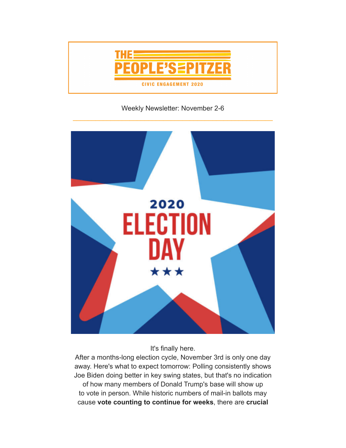

# Weekly Newsletter: November 2-6



It's finally here.

After a months-long election cycle, November 3rd is only one day away. Here's what to expect tomorrow: Polling consistently shows Joe Biden doing better in key swing states, but that's no indication of how many members of Donald Trump's base will show up to vote in person. While historic numbers of mail-in ballots may cause **vote counting to continue for weeks**, there are **crucial**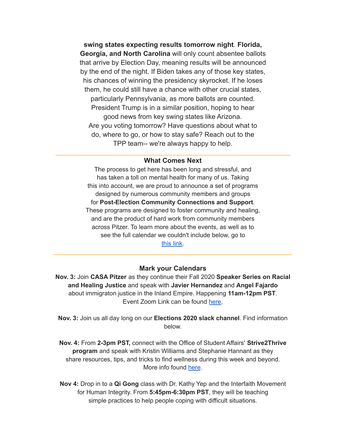**swing states expecting results tomorrow night**. **Florida, Georgia, and North Carolina** will only count absentee ballots that arrive by Election Day, meaning results will be announced by the end of the night. If Biden takes any of those key states, his chances of winning the presidency skyrocket. If he loses them, he could still have a chance with other crucial states, particularly Pennsylvania, as more ballots are counted. President Trump is in a similar position, hoping to hear good news from key swing states like Arizona. Are you voting tomorrow? Have questions about what to do, where to go, or how to stay safe? Reach out to the TPP team-- we're always happy to help.

### **What Comes Next**

The process to get here has been long and stressful, and has taken a toll on mental health for many of us. Taking this into account, we are proud to announce a set of programs designed by numerous community members and groups for **Post-Election Community Connections and Support**. These programs are designed to foster community and healing, and are the product of hard work from community members across Pitzer. To learn more about the events, as well as to see the full calendar we couldn't include below, go to [this](https://www.pitzer.edu/cec/community-engagement-center/community-pillars/peoples-pitzer/election-community-support/) link.

#### **Mark your Calendars**

\_\_\_\_\_\_\_\_\_\_\_\_\_\_\_\_\_\_\_\_\_\_\_\_\_\_\_\_\_\_\_\_\_\_\_\_\_\_\_\_\_\_\_\_\_\_\_\_\_\_\_\_\_\_\_\_\_\_\_\_\_\_\_\_\_\_\_\_\_

**Nov. 3:** Join **CASA Pitzer** as they continue their Fall 2020 **Speaker Series on Racial and Healing Justice** and speak with **Javier Hernandez** and **Angel Fajardo** about immigraton justice in the Inland Empire. Happening **11am-12pm PST**. Event Zoom Link can be found [here.](https://www.pitzer.edu/cec/community-engagement-center/community-pillars/peoples-pitzer/election-community-support/)

**Nov. 3:** Join us all day long on our **Elections 2020 slack channel**. Find information below.

**Nov. 4:** From **2-3pm PST,** connect with the Office of Student Affairs' **Strive2Thrive program** and speak with Kristin Williams and Stephanie Hannant as they share resources, tips, and tricks to find wellness during this week and beyond. More info found [here](https://www.pitzer.edu/cec/community-engagement-center/community-pillars/peoples-pitzer/election-community-support/).

**Nov 4:** Drop in to a **Qi Gong** class with Dr. Kathy Yep and the Interfaith Movement for Human Integrity. From **5:45pm-6:30pm PST**, they will be teaching simple practices to help people coping with difficult situations.